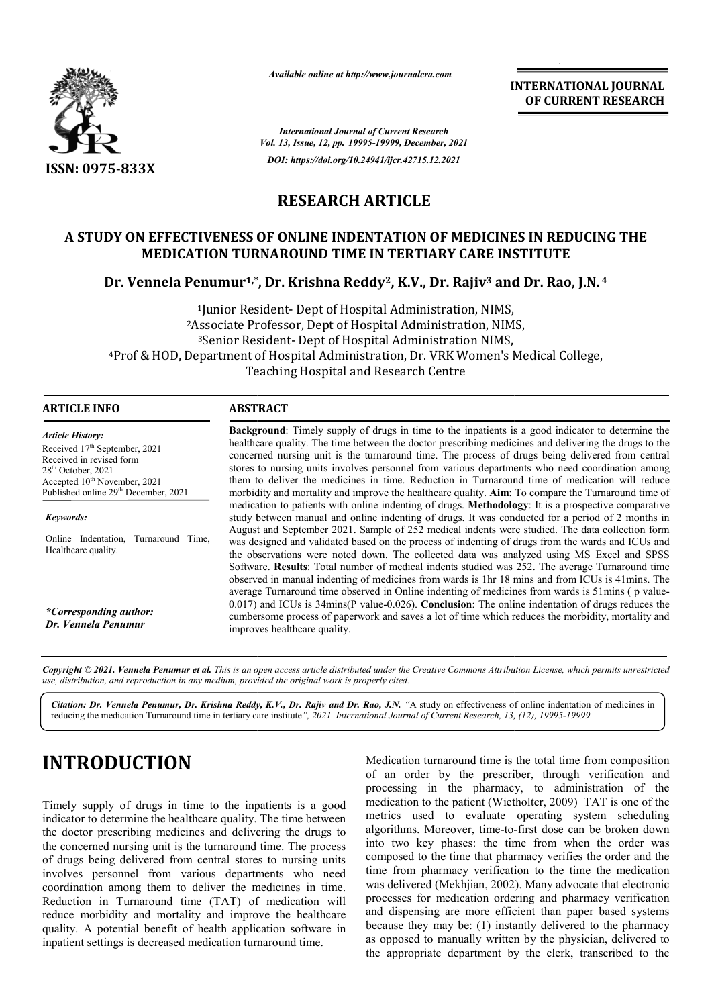

*Available online at http://www.journalcra.com*

**INTERNATIONAL JOURNAL OF CURRENT RESEARCH**

*International Journal of Current Research Vol. 13, Issue, 12, pp. 19995-19999, December, 2021 DOI: https://doi.org/10.24941/ijcr.42715.12.2021*

#### **RESEARCH ARTICLE**

### **A STUDY ON EFFECTIVENESS OF ONLINE INDENTATION OF MEDICINES IN REDUCING THE MEDICATION TURNAROUND TIME IN TERTIARY CARE INSTITUTE** DY ON EFFECTIVENESS OF ONLINE INDENTATION OF MEDICINES IN REDUCIN<br>MEDICATION TURNAROUND TIME IN TERTIARY CARE INSTITUTE<br>Dr. Vennela Penumur<sup>1,\*</sup>, Dr. Krishna Reddy<sup>2</sup>, K.V., Dr. Rajiv<sup>3</sup> and Dr. Rao, J.N.<sup>4</sup>

1Junior Resident Resident- Dept of Hospital Administration, NIMS, 2Associate Professor Professor, Dept of Hospital Administration, NIMS, 3Senior Resident Resident- Dept of Hospital Administration NIMS, <sup>4</sup>Prof & HOD, Department of Hospital Administration, Dr. VRK Women's Medical College, Teaching Hospital and Research Centre

| <b>ARTICLE INFO</b> |
|---------------------|
|---------------------|

#### **ABSTRACT**

*Article History: ArticleHistory:Article History:* Received 17<sup>th</sup> September, 2021 Received in revised form Received in revised form Received in revised form  $28<sup>th</sup>$  October, 2021 Accepted  $10^{\text{th}}$  November, 2021 Published online 29<sup>th</sup> December, 2021  $28<sup>th</sup>$  October, 2021 28<sup>th</sup> October, 2021<br>Accepted 10<sup>th</sup> Novembe Accepted 10<sup>th</sup> November, 2021

*Keywords:*

Online Indentation, Turnaround Time, Healthcare quality.

*\*Corresponding author: Dr. Vennela Penumur*

**Background** : Timely supply of drugs in time to the inpatients is a good indicator to determine the healthcare quality. The time between the doctor prescribing medicines and delivering the drugs to the **Background:** Timely supply of drugs in time to the inpatients is a good indicator to determine the healthcare quality. The time between the doctor prescribing medicines and delivering the drugs to the concerned nursing un stores to nursing units involves personnel from various departments who need coordination among them to deliver the medicines in time. Reduction in Turnaround time of medication will reduce morbidity and mortality and improve the healthcare quality. **Aim**: To compare the Turnaround time of stores to nursing units involves personnel from various departments who need coordination among them to deliver the medicines in time. Reduction in Turnaround time of medication will reduce morbidity and mortality and impr study between manual and online indenting of drugs. It was conducted for a period of 2 months in August and September 2021. Sample of 252 medical indents were studied. The data collection form was designed and validated based on the process of indenting of drugs from the wards and ICUs and the observations were noted down. The collected data was analyzed using MS Excel and SPSS Software. **Results**: Total number of medical indents studied was 252. The average Turnaround time observed in manual indenting of medicines from wards is 1hr 18 mins and from ICUs is 41mins. The average Turnaround time observed in Online indenting of medicines from wards is 51mins ( p value  $0.017$ ) and ICUs is  $34$ mins(P value- $0.026$ ). **Conclusion**: The online indentation of drugs reduces the cumbersome process of paperwork and saves a lot of time which reduces the morbidity, mortality and improves healthcare quality. bserved in manual indenting of medicines from wards is 1hr 18 i<br>verage Turnaround time observed in Online indenting of medicir<br>.017) and ICUs is 34mins(P value-0.026). **Conclusion**: The onli study between manual and online indenting of drugs. It was conducted for a period of 2 months in<br>August and September 2021. Sample of 252 medical indents were studied. The data collection form<br>was designed and validated ba **INTERNATIONAL JOURNAL FORM (CONTRAL FORM (CONTRAL FORM PASSEARCH CONTRAL TO CONTRACT (DETERNATATION CONTRAL TO CONTRACT THE SPACE THE SPACE THE SPACE THE SPACE THE SPACE THE SPACE THE SPACE THE SPACE THE SPACE THE SPACE T** 

Copyright © 2021. Vennela Penumur et al. This is an open access article distributed under the Creative Commons Attribution License, which permits unrestricted *use, distribution, and reproduction in any medium, provided the original work is properly cited.*

Citation: Dr. Vennela Penumur, Dr. Krishna Reddy, K.V., Dr. Rajiv and Dr. Rao, J.N. "A study on effectiveness of online indentation of medicines in reducing the medication Turnaround time in tertiary care institute", 2021. International Journal of Current Research, 13, (12), 19995-19999.

# **INTRODUCTION**

Timely supply of drugs in time to the inpatients is a good indicator to determine the healthcare quality. The time between the doctor prescribing medicines and delivering the drugs to the concerned nursing unit is the turnaround time. The process of drugs being delivered from central stores to nursing units involves personnel from various departments who need coordination among them to deliver the medicines in time. Reduction in Turnaround time (TAT) of medication will reduce morbidity and mortality and improve the healthcare quality. A potential benefit of health application software in inpatient settings is decreased medication turnaround time.

Medication turnaround time is the total time from composition of an order by the prescriber, through verification and processing in the pharmacy, to administration of the medication to the patient (Wietholter, 2009) TAT is one of the metrics used to evaluate operating system scheduling metrics used to evaluate operating system scheduling algorithms. Moreover, time-to-first dose can be broken down into two key phases: the time from when the order was composed to the time that pharmacy verifies the order and the into two key phases: the time from when the order was composed to the time that pharmacy verifies the order and the time from pharmacy verification to the time the medication was delivered (Mekhjian, 2002). Many advocate that electronic processes for medication ordering and pharmacy verification and dispensing are more efficient than paper based systems because they may be: (1) instantly delivered to the pharmacy as opposed to manually written by the physician, delivered to the appropriate department by the clerk, transcribed to the verification and<br>transport to administration of the<br>Wietholter, 2009) TAT is one of the medication ordering and pharmacy verification<br>g are more efficient than paper based systems<br>nay be: (1) instantly delivered to the pharmacy<br>manually written by the physician, delivered to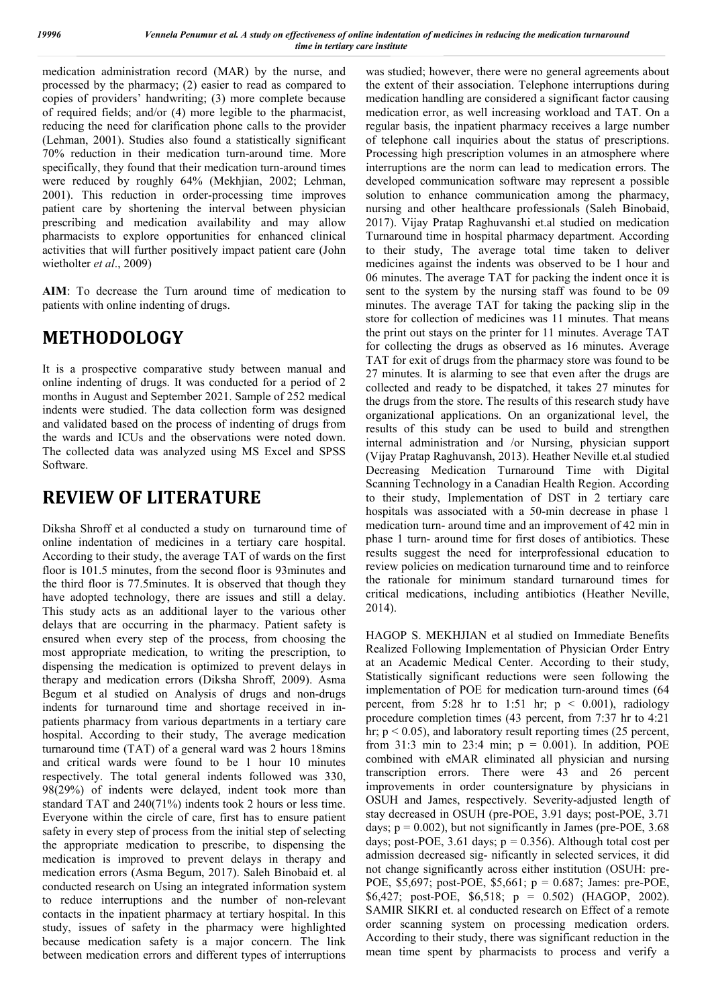medication administration record (MAR) by the nurse, and processed by the pharmacy; (2) easier to read as compared to copies of providers' handwriting; (3) more complete because of required fields; and/or (4) more legible to the pharmacist, reducing the need for clarification phone calls to the provider (Lehman, 2001). Studies also found a statistically significant 70% reduction in their medication turn-around time. More specifically, they found that their medication turn-around times were reduced by roughly 64% (Mekhjian, 2002; Lehman, 2001). This reduction in order-processing time improves patient care by shortening the interval between physician prescribing and medication availability and may allow pharmacists to explore opportunities for enhanced clinical activities that will further positively impact patient care (John wietholter *et al*., 2009)

**AIM**: To decrease the Turn around time of medication to patients with online indenting of drugs.

# **METHODOLOGY**

It is a prospective comparative study between manual and online indenting of drugs. It was conducted for a period of 2 months in August and September 2021. Sample of 252 medical indents were studied. The data collection form was designed and validated based on the process of indenting of drugs from the wards and ICUs and the observations were noted down. The collected data was analyzed using MS Excel and SPSS Software.

## **REVIEW OF LITERATURE**

Diksha Shroff et al conducted a study on turnaround time of online indentation of medicines in a tertiary care hospital. According to their study, the average TAT of wards on the first floor is 101.5 minutes, from the second floor is 93minutes and the third floor is 77.5minutes. It is observed that though they have adopted technology, there are issues and still a delay. This study acts as an additional layer to the various other delays that are occurring in the pharmacy. Patient safety is ensured when every step of the process, from choosing the most appropriate medication, to writing the prescription, to dispensing the medication is optimized to prevent delays in therapy and medication errors (Diksha Shroff, 2009). Asma Begum et al studied on Analysis of drugs and non-drugs indents for turnaround time and shortage received in inpatients pharmacy from various departments in a tertiary care hospital. According to their study, The average medication turnaround time (TAT) of a general ward was 2 hours 18mins and critical wards were found to be 1 hour 10 minutes respectively. The total general indents followed was 330, 98(29%) of indents were delayed, indent took more than standard TAT and 240(71%) indents took 2 hours or less time. Everyone within the circle of care, first has to ensure patient safety in every step of process from the initial step of selecting the appropriate medication to prescribe, to dispensing the medication is improved to prevent delays in therapy and medication errors (Asma Begum, 2017). Saleh Binobaid et. al conducted research on Using an integrated information system to reduce interruptions and the number of non-relevant contacts in the inpatient pharmacy at tertiary hospital. In this study, issues of safety in the pharmacy were highlighted because medication safety is a major concern. The link between medication errors and different types of interruptions

was studied; however, there were no general agreements about the extent of their association. Telephone interruptions during medication handling are considered a significant factor causing medication error, as well increasing workload and TAT. On a regular basis, the inpatient pharmacy receives a large number of telephone call inquiries about the status of prescriptions. Processing high prescription volumes in an atmosphere where interruptions are the norm can lead to medication errors. The developed communication software may represent a possible solution to enhance communication among the pharmacy, nursing and other healthcare professionals (Saleh Binobaid, 2017). Vijay Pratap Raghuvanshi et.al studied on medication Turnaround time in hospital pharmacy department. According to their study, The average total time taken to deliver medicines against the indents was observed to be 1 hour and 06 minutes. The average TAT for packing the indent once it is sent to the system by the nursing staff was found to be 09 minutes. The average TAT for taking the packing slip in the store for collection of medicines was 11 minutes. That means the print out stays on the printer for 11 minutes. Average TAT for collecting the drugs as observed as 16 minutes. Average TAT for exit of drugs from the pharmacy store was found to be 27 minutes. It is alarming to see that even after the drugs are collected and ready to be dispatched, it takes 27 minutes for the drugs from the store. The results of this research study have organizational applications. On an organizational level, the results of this study can be used to build and strengthen internal administration and /or Nursing, physician support (Vijay Pratap Raghuvansh, 2013). Heather Neville et.al studied Decreasing Medication Turnaround Time with Digital Scanning Technology in a Canadian Health Region. According to their study, Implementation of DST in 2 tertiary care hospitals was associated with a 50-min decrease in phase 1 medication turn- around time and an improvement of 42 min in phase 1 turn- around time for first doses of antibiotics. These results suggest the need for interprofessional education to review policies on medication turnaround time and to reinforce the rationale for minimum standard turnaround times for critical medications, including antibiotics (Heather Neville, 2014).

HAGOP S. MEKHJIAN et al studied on Immediate Benefits Realized Following Implementation of Physician Order Entry at an Academic Medical Center. According to their study, Statistically significant reductions were seen following the implementation of POE for medication turn-around times (64 percent, from 5:28 hr to 1:51 hr;  $p \le 0.001$ ), radiology procedure completion times (43 percent, from 7:37 hr to 4:21 hr;  $p < 0.05$ ), and laboratory result reporting times (25 percent, from 31:3 min to 23:4 min;  $p = 0.001$ ). In addition, POE combined with eMAR eliminated all physician and nursing transcription errors. There were 43 and 26 percent improvements in order countersignature by physicians in OSUH and James, respectively. Severity-adjusted length of stay decreased in OSUH (pre-POE, 3.91 days; post-POE, 3.71 days;  $p = 0.002$ ), but not significantly in James (pre-POE, 3.68) days; post-POE, 3.61 days;  $p = 0.356$ ). Although total cost per admission decreased sig- nificantly in selected services, it did not change significantly across either institution (OSUH: pre-POE, \$5,697; post-POE, \$5,661; p = 0.687; James: pre-POE, \$6,427; post-POE, \$6,518; p = 0.502) (HAGOP, 2002). SAMIR SIKRI et. al conducted research on Effect of a remote order scanning system on processing medication orders. According to their study, there was significant reduction in the mean time spent by pharmacists to process and verify a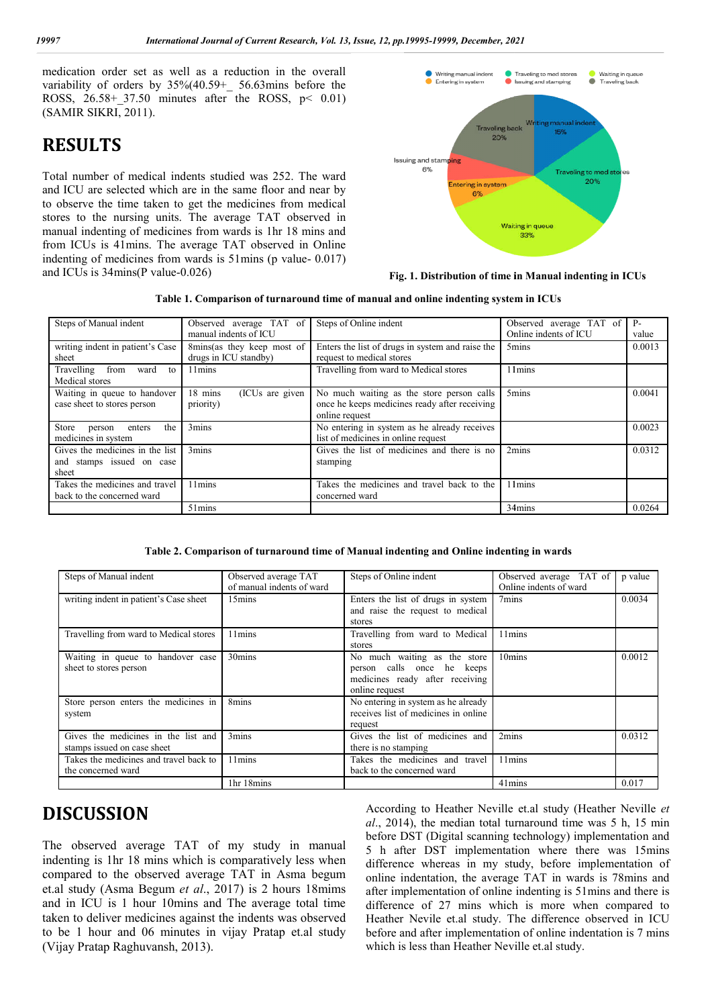medication order set as well as a reduction in the overall variability of orders by 35%(40.59+\_ 56.63mins before the ROSS,  $26.58 + 37.50$  minutes after the ROSS,  $p < 0.01$ ) (SAMIR SIKRI, 2011).

### **RESULTS**

Total number of medical indents studied was 252. The ward and ICU are selected which are in the same floor and near by to observe the time taken to get the medicines from medical stores to the nursing units. The average TAT observed in manual indenting of medicines from wards is 1hr 18 mins and from ICUs is 41mins. The average TAT observed in Online indenting of medicines from wards is  $51 \text{ mins}$  (p value- 0.017) and ICUs is 34mins(P value-0.026) inutes edicines (p value- 0.017)



#### **Fig. 1. Distribution of time in Manual indenting in ICUs indenting in**

**Table 1. Comparison of turnaround time of manual and online in indenting system in ICUs**

| Steps of Manual indent                                                | Observed average TAT of<br>manual indents of ICU    | Steps of Online indent                                                                                       | Observed average TAT of<br>Online indents of ICU | $P -$<br>value |
|-----------------------------------------------------------------------|-----------------------------------------------------|--------------------------------------------------------------------------------------------------------------|--------------------------------------------------|----------------|
| writing indent in patient's Case<br>sheet                             | 8mins(as they keep most of<br>drugs in ICU standby) | Enters the list of drugs in system and raise the<br>request to medical stores                                | 5 <sub>mins</sub>                                | 0.0013         |
| from<br>Travelling<br>ward<br>to<br>Medical stores                    | 11 <sub>mins</sub>                                  | Travelling from ward to Medical stores                                                                       | 11 <sub>mins</sub>                               |                |
| Waiting in queue to handover<br>case sheet to stores person           | 18 mins<br>(ICUs are given<br>priority)             | No much waiting as the store person calls<br>once he keeps medicines ready after receiving<br>online request | 5 <sub>mins</sub>                                | 0.0041         |
| the<br>Store<br>enters<br>person<br>medicines in system               | 3mins                                               | No entering in system as he already receives<br>list of medicines in online request                          |                                                  | 0.0023         |
| Gives the medicines in the list<br>and stamps issued on case<br>sheet | 3mins                                               | Gives the list of medicines and there is no<br>stamping                                                      | 2mins                                            | 0.0312         |
| Takes the medicines and travel<br>back to the concerned ward          | 11mins                                              | Takes the medicines and travel back to the<br>concerned ward                                                 | 11 <sub>mins</sub>                               |                |
|                                                                       | 51mins                                              |                                                                                                              | 34mins                                           | 0.0264         |

**Table 2. Comparison of turnaround time of Manual indenting and Online indenting in wards**

|                                                                                                                                                                                                                                                                                                                                                                                                                      |                                                  |                                                     |                                                                                                              | Table 1. Comparison of turnaround time of manual and online indenting system in ICUs                                                                                                                                                                                                                                                                                                                                                                                                                                                                                                                                 |                                                   |                |  |
|----------------------------------------------------------------------------------------------------------------------------------------------------------------------------------------------------------------------------------------------------------------------------------------------------------------------------------------------------------------------------------------------------------------------|--------------------------------------------------|-----------------------------------------------------|--------------------------------------------------------------------------------------------------------------|----------------------------------------------------------------------------------------------------------------------------------------------------------------------------------------------------------------------------------------------------------------------------------------------------------------------------------------------------------------------------------------------------------------------------------------------------------------------------------------------------------------------------------------------------------------------------------------------------------------------|---------------------------------------------------|----------------|--|
| Steps of Manual indent                                                                                                                                                                                                                                                                                                                                                                                               | Observed average TAT of<br>manual indents of ICU |                                                     | Steps of Online indent                                                                                       |                                                                                                                                                                                                                                                                                                                                                                                                                                                                                                                                                                                                                      | Observed average TAT of<br>Online indents of ICU  | $P -$<br>value |  |
| writing indent in patient's Case<br>sheet                                                                                                                                                                                                                                                                                                                                                                            |                                                  | 8mins(as they keep most of<br>drugs in ICU standby) |                                                                                                              | Enters the list of drugs in system and raise the<br>request to medical stores                                                                                                                                                                                                                                                                                                                                                                                                                                                                                                                                        | 5 <sub>mins</sub>                                 | 0.0013         |  |
| Travelling<br>from<br>ward<br>to<br>Medical stores                                                                                                                                                                                                                                                                                                                                                                   | 11mins                                           |                                                     |                                                                                                              | Travelling from ward to Medical stores                                                                                                                                                                                                                                                                                                                                                                                                                                                                                                                                                                               | 11 <sub>mins</sub>                                |                |  |
| Waiting in queue to handover<br>case sheet to stores person                                                                                                                                                                                                                                                                                                                                                          | 18 mins<br>(ICUs are given<br>priority)          |                                                     | No much waiting as the store person calls<br>once he keeps medicines ready after receiving<br>online request |                                                                                                                                                                                                                                                                                                                                                                                                                                                                                                                                                                                                                      | 5mins                                             | 0.0041         |  |
| Store<br>person<br>the<br>enters<br>medicines in system                                                                                                                                                                                                                                                                                                                                                              | 3mins                                            |                                                     |                                                                                                              | No entering in system as he already receives<br>list of medicines in online request                                                                                                                                                                                                                                                                                                                                                                                                                                                                                                                                  |                                                   | 0.0023         |  |
| Gives the medicines in the list<br>and stamps issued on case<br>sheet                                                                                                                                                                                                                                                                                                                                                | 3mins                                            |                                                     | stamping                                                                                                     | Gives the list of medicines and there is no                                                                                                                                                                                                                                                                                                                                                                                                                                                                                                                                                                          | 2mins                                             | 0.0312         |  |
| Takes the medicines and travel<br>back to the concerned ward                                                                                                                                                                                                                                                                                                                                                         | 11mins                                           |                                                     |                                                                                                              | Takes the medicines and travel back to the<br>concerned ward                                                                                                                                                                                                                                                                                                                                                                                                                                                                                                                                                         | 11 <sub>mins</sub>                                |                |  |
|                                                                                                                                                                                                                                                                                                                                                                                                                      | 51mins                                           |                                                     |                                                                                                              |                                                                                                                                                                                                                                                                                                                                                                                                                                                                                                                                                                                                                      | 34mins                                            | 0.0264         |  |
| Steps of Manual indent                                                                                                                                                                                                                                                                                                                                                                                               |                                                  | Observed average TAT<br>of manual indents of ward   |                                                                                                              | Steps of Online indent                                                                                                                                                                                                                                                                                                                                                                                                                                                                                                                                                                                               | Observed average TAT of<br>Online indents of ward | p value        |  |
| writing indent in patient's Case sheet                                                                                                                                                                                                                                                                                                                                                                               |                                                  | 15 <sub>mins</sub>                                  |                                                                                                              | Enters the list of drugs in system<br>and raise the request to medical<br>stores                                                                                                                                                                                                                                                                                                                                                                                                                                                                                                                                     | 7 <sub>mins</sub>                                 | 0.0034         |  |
| Travelling from ward to Medical stores                                                                                                                                                                                                                                                                                                                                                                               |                                                  | 11mins                                              |                                                                                                              | Travelling from ward to Medical<br>stores                                                                                                                                                                                                                                                                                                                                                                                                                                                                                                                                                                            | 11mins                                            |                |  |
| Waiting in queue to handover case<br>sheet to stores person                                                                                                                                                                                                                                                                                                                                                          |                                                  | 30mins                                              |                                                                                                              | No much waiting as the store<br>person calls once he keeps<br>medicines ready after receiving<br>online request                                                                                                                                                                                                                                                                                                                                                                                                                                                                                                      | 10mins                                            | 0.0012         |  |
| Store person enters the medicines in<br>system                                                                                                                                                                                                                                                                                                                                                                       |                                                  | 8mins                                               |                                                                                                              | No entering in system as he already<br>receives list of medicines in online<br>request                                                                                                                                                                                                                                                                                                                                                                                                                                                                                                                               |                                                   |                |  |
| Gives the medicines in the list and<br>stamps issued on case sheet                                                                                                                                                                                                                                                                                                                                                   |                                                  | 3mins                                               |                                                                                                              | Gives the list of medicines and<br>there is no stamping                                                                                                                                                                                                                                                                                                                                                                                                                                                                                                                                                              | 2mins                                             | 0.0312         |  |
| Takes the medicines and travel back to<br>the concerned ward                                                                                                                                                                                                                                                                                                                                                         |                                                  | 11mins                                              |                                                                                                              | Takes the medicines and travel<br>back to the concerned ward                                                                                                                                                                                                                                                                                                                                                                                                                                                                                                                                                         | 11mins                                            |                |  |
|                                                                                                                                                                                                                                                                                                                                                                                                                      |                                                  | 1hr 18mins                                          |                                                                                                              |                                                                                                                                                                                                                                                                                                                                                                                                                                                                                                                                                                                                                      | $41 \text{mins}$                                  | 0.017          |  |
| <b>ISCUSSION</b><br>e observed average TAT of my study in manual<br>lenting is 1hr 18 mins which is comparatively less when<br>mpared to the observed average TAT in Asma begum<br>al study (Asma Begum et al., 2017) is 2 hours 18mims<br>d in ICU is 1 hour 10mins and The average total time<br>ten to deliver medicines against the indents was observed<br>be 1 hour and 06 minutes in vijay Pratap et.al study |                                                  |                                                     |                                                                                                              | According to Heather Neville et.al study (Heather Neville<br>al., 2014), the median total turnaround time was 5 h, 15 m<br>before DST (Digital scanning technology) implementation an<br>5 h after DST implementation where there was 15mi<br>difference whereas in my study, before implementation<br>online indentation, the average TAT in wards is 78mins and<br>after implementation of online indenting is 51mins and there<br>difference of 27 mins which is more when compared<br>Heather Nevile et.al study. The difference observed in IC<br>before and after implementation of online indentation is 7 mi |                                                   |                |  |
| ijay Pratap Raghuvansh, 2013).                                                                                                                                                                                                                                                                                                                                                                                       |                                                  |                                                     |                                                                                                              | which is less than Heather Neville et.al study.                                                                                                                                                                                                                                                                                                                                                                                                                                                                                                                                                                      |                                                   |                |  |

### **DISCUSSION**

The observed average TAT of my study in manual indenting is 1hr 18 mins which is comparatively less when compared to the observed average TAT in Asma begum et.al study (Asma Begum *et al*., 2017) is 2 hours 18mims and in ICU is 1 hour 10mins and The average total time taken to deliver medicines against the indents was observed to be 1 hour and 06 minutes in vijay Pratap et.al study (Vijay Pratap Raghuvansh, 2013).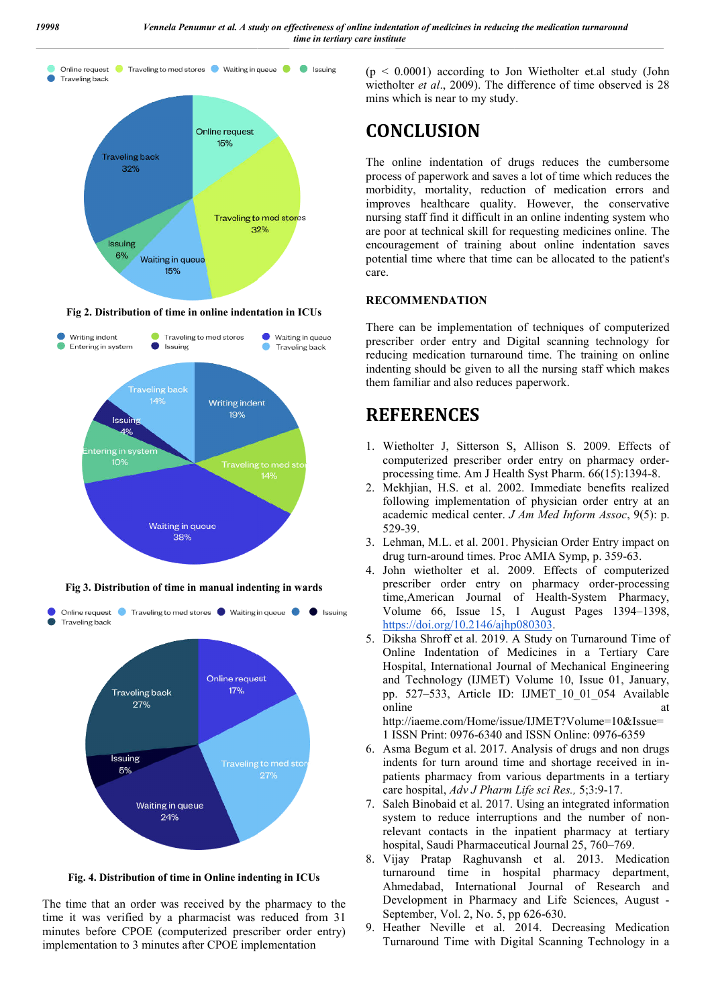

**Fig 2. Distribution of time in online indentation in ICUs**



**Fig 3. Distribution of time in manual indenting in wards**



**Fig. 4. Distribution of time in Online indenting in ICUs**

The time that an order was received by the pharmacy to the time it was verified by a pharmacist was reduced from 31 minutes before CPOE (computerized prescriber order entry) implementation to 3 minutes after CPOE implementation

wietholter *et al.*, 2009). The difference of time observed is 28 mins which is near to my study.  $(p < 0.0001)$  according to Jon Wietholter et.al study (John

# **CONCLUSION**

The online indentation of drugs reduces the cumbersome process of paperwork and saves a lot of time which reduces the morbidity, mortality, reduction of medication errors and improves healthcare quality. However, the conservative nursing staff find it difficult in an online indenting system who are poor at technical skill for requesting medicines online. The encouragement of training about online indentation saves potential time where that time can be allocated to the patient's care. mins which is near to my study.<br>The online indentation of drugs reduces the cumbersome<br>process of paperwork and saves a lot of time which reduces the<br>morbidity, mortality, reduction of medication errors and<br>improves health

#### **RECOMMENDATION**

There can be implementation of techniques of computerized prescriber order entry and Digital scanning technology for reducing medication turnaround time. The training on online indenting should be given to all the nursing staff which makes them familiar and also reduces paperwork. indenting should be given to all the nursing staff which makes<br>them familiar and also reduces paperwork.<br>**REFERENCES**<br>1. Wietholter J, Sitterson S, Allison S. 2009. Effects of

# **REFERENCES**

- computerized prescriber order entry on pharmacy orderprocessing time. Am J Health Syst Pharm. 66(15):1394-8.
- 2. Mekhjian, H.S. et al. 2002. Immediate benefits realized following implementation of physician order entry at an following implementation of physician order entry at an academic medical center. *J Am Med Inform Assoc*, 9(5): p. 529-39.
- 3. Lehman, M.L. et al. 2001. Physician Order Entry impact on drug turn-around times. Proc AMIA Symp, p. 359-63.
- 4. John wietholter et al. 2009. . 2009. Effects of computerized prescriber order entry on pharmacy order-processing time, American Journal of Health-System Pharmacy, Volume 66, Issue 15, 1 August Pages 1394–1398, https://doi.org/10.2146/ajhp080303 https://doi.org/10.2146/ajhp080303.
- 5. Diksha Shroff et al. 2019. A Study on Turnaround Time of Diksha Shroff et al. 2019. A Study on Turnaround Time of Online Indentation of Medicines in a Tertiary Care Hospital, International Journal of Mechanical Engineering and Technology (IJMET) Volume 10, Issue 01, January, pp. 527–533, Article ID: IJMET\_10\_01\_054 Available<br>
online at<br>
http://iaeme.com/Home/issue/IJMET?Volume=10&Issue=<br>
1 ISSN Print: 0976-6340 and ISSN Online: 0976-6359 online at a state of  $\alpha$  at a state of  $\alpha$  at a state of  $\alpha$  at a state of  $\alpha$  at a state of  $\alpha$  at a state of  $\alpha$  at a state of  $\alpha$  at a state of  $\alpha$  at a state of  $\alpha$  at a state of  $\alpha$  at a state of  $\alpha$  at a s http://iaeme.com/Home/issue/IJMET?Volume=10&Issue=

1 ISSN Print: 0976-6340 and ISSN Online: 0976

- 6. Asma Begum et al. 2017. Analysis of drugs and non drugs Asma Begum et al. 2017. Analysis of drugs and non drugs indents for turn around time and shortage received in inpatients pharmacy from various departments in a tertiary pharmacy care hospital, *Adv J Pharm Life sci Res.,* 5;3:9-17.
- 7. Saleh Binobaid et al. 2017. Using an integrated information system to reduce interruptions and the number of nonrelevant contacts in the inpatient pharmacy at tertiary relevant contacts in the inpatient pharmacy at hospital, Saudi Pharmaceutical Journal 25, 760–769.
- 8. Vijay Pratap Raghuvansh et al. 2013. Medication turnaround time in hospital pharmacy department, Ahmedabad, International Journal of Research and<br>Development in Pharmacy and Life Sciences, August -Development in Pharmacy and Life Sciences, August September, Vol. 2, No. 5, pp 626 626-630.
- 9. Heather Neville et al. 2014. . Decreasing Medication Turnaround Time with Digital Scanning Technology in a